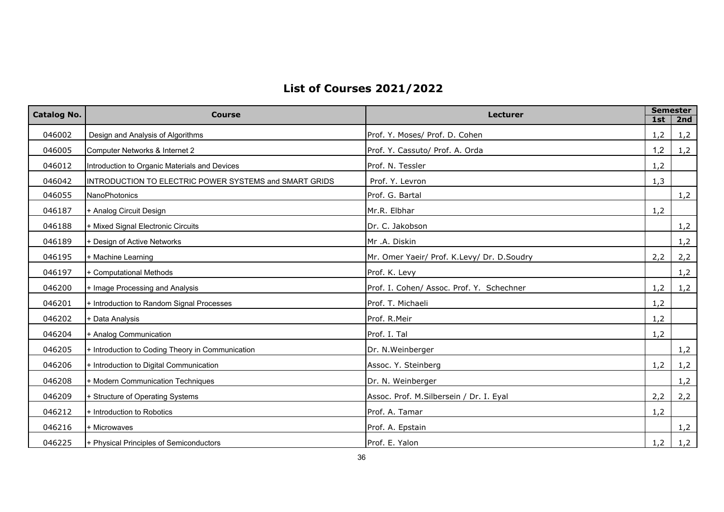## **List of Courses 2021/2022**

| <b>Catalog No.</b> | <b>Course</b>                                          | Lecturer                                   | <b>Semester</b> |     |
|--------------------|--------------------------------------------------------|--------------------------------------------|-----------------|-----|
|                    |                                                        |                                            | 1st             | 2nd |
| 046002             | Design and Analysis of Algorithms                      | Prof. Y. Moses/ Prof. D. Cohen             | 1,2             | 1,2 |
| 046005             | Computer Networks & Internet 2                         | Prof. Y. Cassuto/ Prof. A. Orda            | 1,2             | 1,2 |
| 046012             | Introduction to Organic Materials and Devices          | Prof. N. Tessler                           | 1,2             |     |
| 046042             | INTRODUCTION TO ELECTRIC POWER SYSTEMS and SMART GRIDS | Prof. Y. Levron                            | 1,3             |     |
| 046055             | <b>NanoPhotonics</b>                                   | Prof. G. Bartal                            |                 | 1,2 |
| 046187             | + Analog Circuit Design                                | Mr.R. Elbhar                               | 1,2             |     |
| 046188             | + Mixed Signal Electronic Circuits                     | Dr. C. Jakobson                            |                 | 1,2 |
| 046189             | + Design of Active Networks                            | Mr .A. Diskin                              |                 | 1,2 |
| 046195             | + Machine Learning                                     | Mr. Omer Yaeir/ Prof. K.Levy/ Dr. D.Soudry | 2,2             | 2,2 |
| 046197             | + Computational Methods                                | Prof. K. Levy                              |                 | 1,2 |
| 046200             | + Image Processing and Analysis                        | Prof. I. Cohen/ Assoc. Prof. Y. Schechner  | 1,2             | 1,2 |
| 046201             | + Introduction to Random Signal Processes              | Prof. T. Michaeli                          | 1,2             |     |
| 046202             | + Data Analysis                                        | Prof. R.Meir                               | 1,2             |     |
| 046204             | + Analog Communication                                 | Prof. I. Tal                               | 1,2             |     |
| 046205             | + Introduction to Coding Theory in Communication       | Dr. N. Weinberger                          |                 | 1,2 |
| 046206             | + Introduction to Digital Communication                | Assoc. Y. Steinberg                        | 1,2             | 1,2 |
| 046208             | + Modern Communication Techniques                      | Dr. N. Weinberger                          |                 | 1,2 |
| 046209             | + Structure of Operating Systems                       | Assoc. Prof. M.Silbersein / Dr. I. Eyal    | 2,2             | 2,2 |
| 046212             | + Introduction to Robotics                             | Prof. A. Tamar                             | 1,2             |     |
| 046216             | + Microwaves                                           | Prof. A. Epstain                           |                 | 1,2 |
| 046225             | + Physical Principles of Semiconductors                | Prof. E. Yalon                             | 1,2             | 1,2 |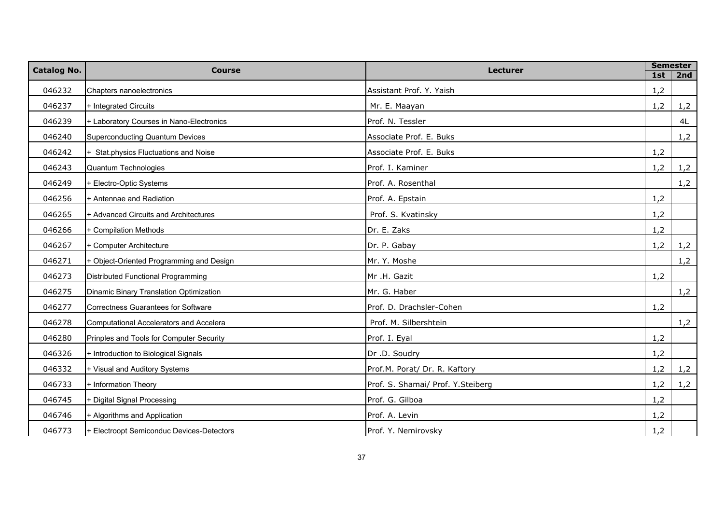| Catalog No. | <b>Course</b>                              | <b>Lecturer</b>                    | <b>Semester</b> |     |  |
|-------------|--------------------------------------------|------------------------------------|-----------------|-----|--|
|             |                                            |                                    | 1st             | 2nd |  |
| 046232      | Chapters nanoelectronics                   | Assistant Prof. Y. Yaish           | 1,2             |     |  |
| 046237      | + Integrated Circuits                      | Mr. E. Maayan                      | 1,2             | 1,2 |  |
| 046239      | + Laboratory Courses in Nano-Electronics   | Prof. N. Tessler                   |                 | 4L  |  |
| 046240      | <b>Superconducting Quantum Devices</b>     | Associate Prof. E. Buks            |                 | 1,2 |  |
| 046242      | + Stat.physics Fluctuations and Noise      | Associate Prof. E. Buks            | 1,2             |     |  |
| 046243      | Quantum Technologies                       | Prof. I. Kaminer                   | 1,2             | 1,2 |  |
| 046249      | + Electro-Optic Systems                    | Prof. A. Rosenthal                 |                 | 1,2 |  |
| 046256      | + Antennae and Radiation                   | Prof. A. Epstain                   | 1,2             |     |  |
| 046265      | + Advanced Circuits and Architectures      | Prof. S. Kvatinsky                 | 1,2             |     |  |
| 046266      | + Compilation Methods                      | Dr. E. Zaks                        | 1,2             |     |  |
| 046267      | + Computer Architecture                    | Dr. P. Gabay                       | 1,2             | 1,2 |  |
| 046271      | + Object-Oriented Programming and Design   | Mr. Y. Moshe                       |                 | 1,2 |  |
| 046273      | Distributed Functional Programming         | Mr .H. Gazit                       | 1,2             |     |  |
| 046275      | Dinamic Binary Translation Optimization    | Mr. G. Haber                       |                 | 1,2 |  |
| 046277      | <b>Correctness Guarantees for Software</b> | Prof. D. Drachsler-Cohen           | 1,2             |     |  |
| 046278      | Computational Accelerators and Accelera    | Prof. M. Silbershtein              |                 | 1,2 |  |
| 046280      | Prinples and Tools for Computer Security   | Prof. I. Eyal                      | 1,2             |     |  |
| 046326      | + Introduction to Biological Signals       | Dr .D. Soudry                      | 1,2             |     |  |
| 046332      | + Visual and Auditory Systems              | Prof.M. Porat/ Dr. R. Kaftory      | 1,2             | 1,2 |  |
| 046733      | + Information Theory                       | Prof. S. Shamai/ Prof. Y. Steiberg | 1,2             | 1,2 |  |
| 046745      | + Digital Signal Processing                | Prof. G. Gilboa                    | 1,2             |     |  |
| 046746      | + Algorithms and Application               | Prof. A. Levin                     | 1,2             |     |  |
| 046773      | + Electroopt Semiconduc Devices-Detectors  | Prof. Y. Nemirovsky                | 1,2             |     |  |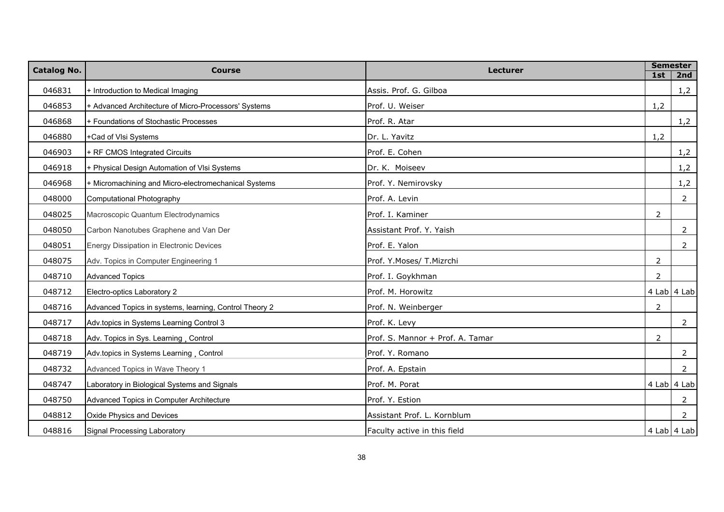| <b>Catalog No.</b> | <b>Course</b>                                          | <b>Lecturer</b>                  | <b>Semester</b> |                |
|--------------------|--------------------------------------------------------|----------------------------------|-----------------|----------------|
|                    |                                                        |                                  | 1st             | 2nd            |
| 046831             | + Introduction to Medical Imaging                      | Assis. Prof. G. Gilboa           |                 | 1,2            |
| 046853             | + Advanced Architecture of Micro-Processors' Systems   | Prof. U. Weiser                  | 1,2             |                |
| 046868             | + Foundations of Stochastic Processes                  | Prof. R. Atar                    |                 | 1,2            |
| 046880             | +Cad of VIsi Systems                                   | Dr. L. Yavitz                    | 1,2             |                |
| 046903             | + RF CMOS Integrated Circuits                          | Prof. E. Cohen                   |                 | 1,2            |
| 046918             | + Physical Design Automation of VIsi Systems           | Dr. K. Moiseev                   |                 | 1,2            |
| 046968             | + Micromachining and Micro-electromechanical Systems   | Prof. Y. Nemirovsky              |                 | 1,2            |
| 048000             | Computational Photography                              | Prof. A. Levin                   |                 | $\overline{2}$ |
| 048025             | Macroscopic Quantum Electrodynamics                    | Prof. I. Kaminer                 | $\overline{2}$  |                |
| 048050             | Carbon Nanotubes Graphene and Van Der                  | Assistant Prof. Y. Yaish         |                 | $\overline{2}$ |
| 048051             | Energy Dissipation in Electronic Devices               | Prof. E. Yalon                   |                 | 2              |
| 048075             | Adv. Topics in Computer Engineering 1                  | Prof. Y.Moses/ T.Mizrchi         | 2               |                |
| 048710             | <b>Advanced Topics</b>                                 | Prof. I. Goykhman                | 2               |                |
| 048712             | Electro-optics Laboratory 2                            | Prof. M. Horowitz                |                 | 4 Lab 4 Lab    |
| 048716             | Advanced Topics in systems, learning, Control Theory 2 | Prof. N. Weinberger              | $\overline{2}$  |                |
| 048717             | Adv.topics in Systems Learning Control 3               | Prof. K. Levy                    |                 | $\overline{2}$ |
| 048718             | Adv. Topics in Sys. Learning, Control                  | Prof. S. Mannor + Prof. A. Tamar | $\overline{2}$  |                |
| 048719             | Adv.topics in Systems Learning, Control                | Prof. Y. Romano                  |                 | $\overline{2}$ |
| 048732             | Advanced Topics in Wave Theory 1                       | Prof. A. Epstain                 |                 | $\overline{2}$ |
| 048747             | Laboratory in Biological Systems and Signals           | Prof. M. Porat                   |                 | 4 Lab 4 Lab    |
| 048750             | Advanced Topics in Computer Architecture               | Prof. Y. Estion                  |                 | $\overline{2}$ |
| 048812             | Oxide Physics and Devices                              | Assistant Prof. L. Kornblum      |                 | 2              |
| 048816             | Signal Processing Laboratory                           | Faculty active in this field     |                 | 4 Lab 4 Lab    |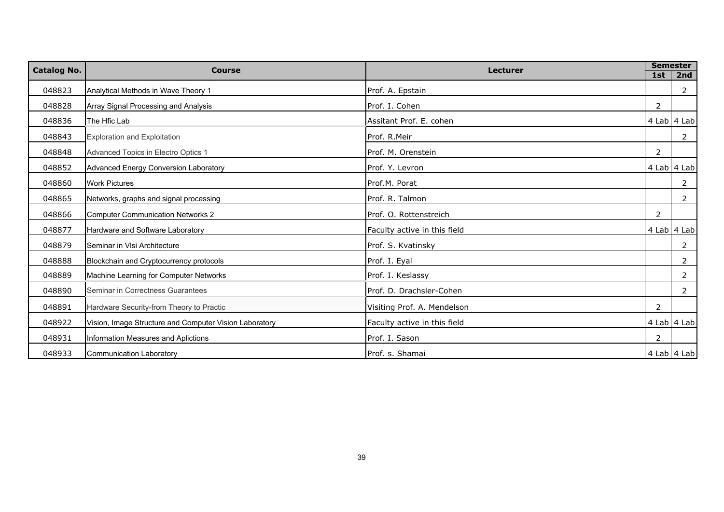| <b>Catalog No.</b> | <b>Course</b>                                          | <b>Lecturer</b>              |                | <b>Semester</b> |
|--------------------|--------------------------------------------------------|------------------------------|----------------|-----------------|
|                    |                                                        |                              | 1st            | 2nd             |
| 048823             | Analytical Methods in Wave Theory 1                    | Prof. A. Epstain             |                | 2               |
| 048828             | Array Signal Processing and Analysis                   | Prof. I. Cohen               | 2              |                 |
| 048836             | The Hfic Lab                                           | Assitant Prof. E. cohen      |                | 4 Lab 4 Lab     |
| 048843             | <b>Exploration and Exploitation</b>                    | Prof. R.Meir                 |                | 2               |
| 048848             | Advanced Topics in Electro Optics 1                    | Prof. M. Orenstein           | 2              |                 |
| 048852             | <b>Advanced Energy Conversion Laboratory</b>           | Prof. Y. Levron              |                | 4 Lab 4 Lab     |
| 048860             | <b>Work Pictures</b>                                   | Prof.M. Porat                |                | 2               |
| 048865             | Networks, graphs and signal processing                 | Prof. R. Talmon              |                | 2               |
| 048866             | <b>Computer Communication Networks 2</b>               | Prof. O. Rottenstreich       | $\overline{2}$ |                 |
| 048877             | Hardware and Software Laboratory                       | Faculty active in this field |                | $4$ Lab $4$ Lab |
| 048879             | Seminar in VIsi Architecture                           | Prof. S. Kvatinsky           |                | $\overline{2}$  |
| 048888             | Blockchain and Cryptocurrency protocols                | Prof. I. Eyal                |                | $\overline{2}$  |
| 048889             | Machine Learning for Computer Networks                 | Prof. I. Keslassy            |                | 2               |
| 048890             | Seminar in Correctness Guarantees                      | Prof. D. Drachsler-Cohen     |                | 2               |
| 048891             | Hardware Security-from Theory to Practic               | Visiting Prof. A. Mendelson  | 2              |                 |
| 048922             | Vision, Image Structure and Computer Vision Laboratory | Faculty active in this field |                | 4 Lab 4 Lab     |
| 048931             | Information Measures and Aplictions                    | Prof. I. Sason               | 2              |                 |
| 048933             | <b>Communication Laboratory</b>                        | Prof. s. Shamai              |                | 4 Lab 4 Lab     |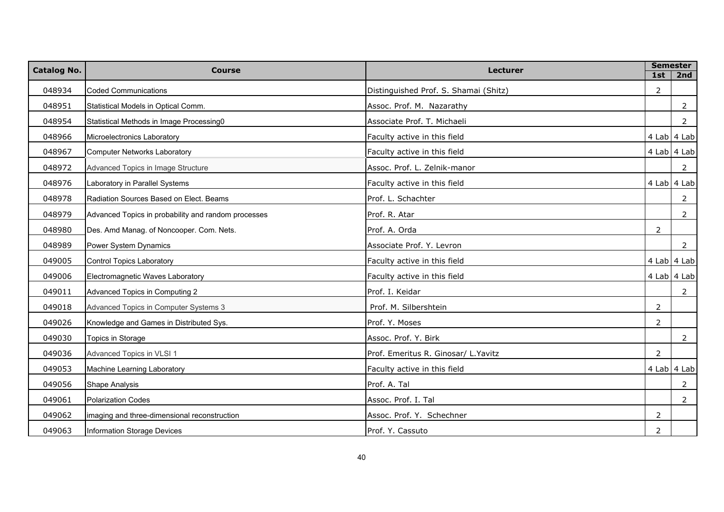| <b>Catalog No.</b> | <b>Course</b>                                       | <b>Lecturer</b>                       | <b>Semester</b> |                 |
|--------------------|-----------------------------------------------------|---------------------------------------|-----------------|-----------------|
|                    |                                                     |                                       | 1st             | 2nd             |
| 048934             | <b>Coded Communications</b>                         | Distinguished Prof. S. Shamai (Shitz) | 2               |                 |
| 048951             | Statistical Models in Optical Comm.                 | Assoc. Prof. M. Nazarathy             |                 | 2               |
| 048954             | Statistical Methods in Image Processing0            | Associate Prof. T. Michaeli           |                 | $\overline{2}$  |
| 048966             | Microelectronics Laboratory                         | Faculty active in this field          |                 | 4 Lab 4 Lab     |
| 048967             | <b>Computer Networks Laboratory</b>                 | Faculty active in this field          |                 | $4$ Lab $4$ Lab |
| 048972             | Advanced Topics in Image Structure                  | Assoc. Prof. L. Zelnik-manor          |                 | $\overline{2}$  |
| 048976             | Laboratory in Parallel Systems                      | Faculty active in this field          |                 | $4$ Lab $4$ Lab |
| 048978             | Radiation Sources Based on Elect. Beams             | Prof. L. Schachter                    |                 | $\overline{2}$  |
| 048979             | Advanced Topics in probability and random processes | Prof. R. Atar                         |                 | $\overline{2}$  |
| 048980             | Des. Amd Manag. of Noncooper. Com. Nets.            | Prof. A. Orda                         | $\overline{2}$  |                 |
| 048989             | Power System Dynamics                               | Associate Prof. Y. Levron             |                 | 2               |
| 049005             | Control Topics Laboratory                           | Faculty active in this field          |                 | $4$ Lab $4$ Lab |
| 049006             | Electromagnetic Waves Laboratory                    | Faculty active in this field          |                 | $4$ Lab $4$ Lab |
| 049011             | Advanced Topics in Computing 2                      | Prof. I. Keidar                       |                 | $\overline{2}$  |
| 049018             | Advanced Topics in Computer Systems 3               | Prof. M. Silbershtein                 | $\overline{2}$  |                 |
| 049026             | Knowledge and Games in Distributed Sys.             | Prof. Y. Moses                        | $\overline{2}$  |                 |
| 049030             | Topics in Storage                                   | Assoc. Prof. Y. Birk                  |                 | $\overline{2}$  |
| 049036             | Advanced Topics in VLSI 1                           | Prof. Emeritus R. Ginosar/ L. Yavitz  | $\overline{2}$  |                 |
| 049053             | Machine Learning Laboratory                         | Faculty active in this field          |                 | 4 Lab 4 Lab     |
| 049056             | <b>Shape Analysis</b>                               | Prof. A. Tal                          |                 | $\overline{2}$  |
| 049061             | <b>Polarization Codes</b>                           | Assoc. Prof. I. Tal                   |                 | $\overline{2}$  |
| 049062             | imaging and three-dimensional reconstruction        | Assoc. Prof. Y. Schechner             | 2               |                 |
| 049063             | Information Storage Devices                         | Prof. Y. Cassuto                      | 2               |                 |